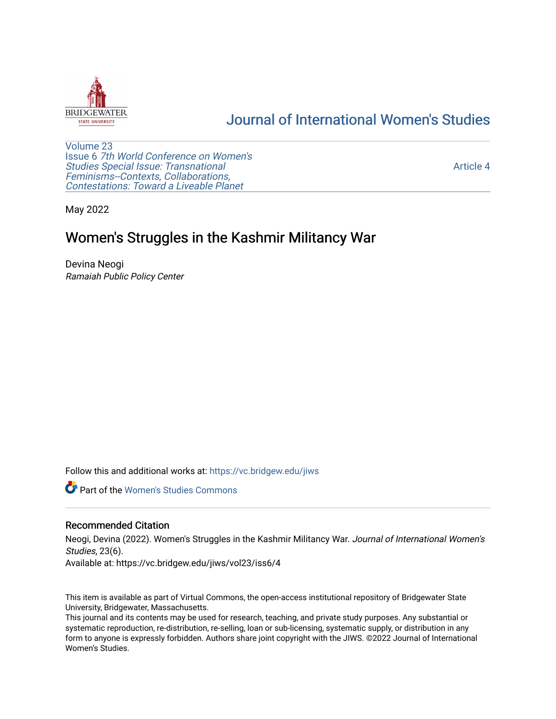

# [Journal of International Women's Studies](https://vc.bridgew.edu/jiws)

[Volume 23](https://vc.bridgew.edu/jiws/vol23) Issue 6 [7th World Conference on Women's](https://vc.bridgew.edu/jiws/vol23/iss6)  [Studies Special Issue: Transnational](https://vc.bridgew.edu/jiws/vol23/iss6)  [Feminisms--Contexts, Collaborations,](https://vc.bridgew.edu/jiws/vol23/iss6)  [Contestations: Toward a Liveable Planet](https://vc.bridgew.edu/jiws/vol23/iss6) 

[Article 4](https://vc.bridgew.edu/jiws/vol23/iss6/4) 

May 2022

# Women's Struggles in the Kashmir Militancy War

Devina Neogi Ramaiah Public Policy Center

Follow this and additional works at: [https://vc.bridgew.edu/jiws](https://vc.bridgew.edu/jiws?utm_source=vc.bridgew.edu%2Fjiws%2Fvol23%2Fiss6%2F4&utm_medium=PDF&utm_campaign=PDFCoverPages)

**C** Part of the Women's Studies Commons

## Recommended Citation

Neogi, Devina (2022). Women's Struggles in the Kashmir Militancy War. Journal of International Women's Studies, 23(6).

Available at: https://vc.bridgew.edu/jiws/vol23/iss6/4

This item is available as part of Virtual Commons, the open-access institutional repository of Bridgewater State University, Bridgewater, Massachusetts.

This journal and its contents may be used for research, teaching, and private study purposes. Any substantial or systematic reproduction, re-distribution, re-selling, loan or sub-licensing, systematic supply, or distribution in any form to anyone is expressly forbidden. Authors share joint copyright with the JIWS. ©2022 Journal of International Women's Studies.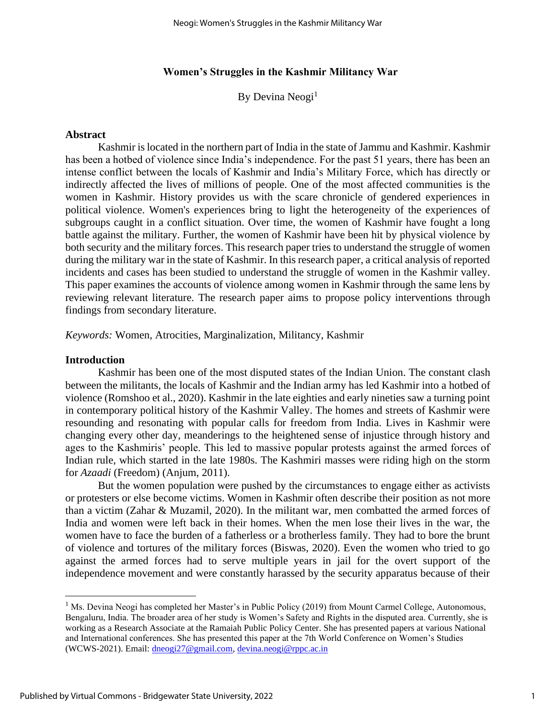## **Women's Struggles in the Kashmir Militancy War**

By Devina Neogi<sup>1</sup>

#### **Abstract**

Kashmir is located in the northern part of India in the state of Jammu and Kashmir. Kashmir has been a hotbed of violence since India's independence. For the past 51 years, there has been an intense conflict between the locals of Kashmir and India's Military Force, which has directly or indirectly affected the lives of millions of people. One of the most affected communities is the women in Kashmir. History provides us with the scare chronicle of gendered experiences in political violence. Women's experiences bring to light the heterogeneity of the experiences of subgroups caught in a conflict situation. Over time, the women of Kashmir have fought a long battle against the military. Further, the women of Kashmir have been hit by physical violence by both security and the military forces. This research paper tries to understand the struggle of women during the military war in the state of Kashmir. In this research paper, a critical analysis of reported incidents and cases has been studied to understand the struggle of women in the Kashmir valley. This paper examines the accounts of violence among women in Kashmir through the same lens by reviewing relevant literature. The research paper aims to propose policy interventions through findings from secondary literature.

*Keywords:* Women, Atrocities, Marginalization, Militancy, Kashmir

#### **Introduction**

Kashmir has been one of the most disputed states of the Indian Union. The constant clash between the militants, the locals of Kashmir and the Indian army has led Kashmir into a hotbed of violence (Romshoo et al., 2020). Kashmir in the late eighties and early nineties saw a turning point in contemporary political history of the Kashmir Valley. The homes and streets of Kashmir were resounding and resonating with popular calls for freedom from India. Lives in Kashmir were changing every other day, meanderings to the heightened sense of injustice through history and ages to the Kashmiris' people. This led to massive popular protests against the armed forces of Indian rule, which started in the late 1980s. The Kashmiri masses were riding high on the storm for *Azaadi* (Freedom) (Anjum, 2011).

But the women population were pushed by the circumstances to engage either as activists or protesters or else become victims. Women in Kashmir often describe their position as not more than a victim (Zahar & Muzamil, 2020). In the militant war, men combatted the armed forces of India and women were left back in their homes. When the men lose their lives in the war, the women have to face the burden of a fatherless or a brotherless family. They had to bore the brunt of violence and tortures of the military forces (Biswas, 2020). Even the women who tried to go against the armed forces had to serve multiple years in jail for the overt support of the independence movement and were constantly harassed by the security apparatus because of their

<sup>&</sup>lt;sup>1</sup> Ms. Devina Neogi has completed her Master's in Public Policy (2019) from Mount Carmel College, Autonomous, Bengaluru, India. The broader area of her study is Women's Safety and Rights in the disputed area. Currently, she is working as a Research Associate at the Ramaiah Public Policy Center. She has presented papers at various National and International conferences. She has presented this paper at the 7th World Conference on Women's Studies (WCWS-2021). Email: [dneogi27@gmail.com,](mailto:dneogi27@gmail.com) [devina.neogi@rppc.ac.in](mailto:devina.neogi@rppc.ac.in)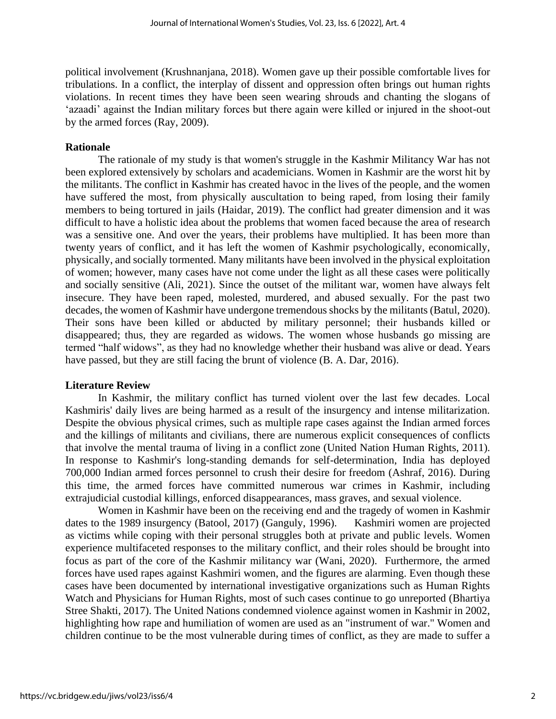political involvement (Krushnanjana, 2018). Women gave up their possible comfortable lives for tribulations. In a conflict, the interplay of dissent and oppression often brings out human rights violations. In recent times they have been seen wearing shrouds and chanting the slogans of 'azaadi' against the Indian military forces but there again were killed or injured in the shoot-out by the armed forces (Ray, 2009).

## **Rationale**

The rationale of my study is that women's struggle in the Kashmir Militancy War has not been explored extensively by scholars and academicians. Women in Kashmir are the worst hit by the militants. The conflict in Kashmir has created havoc in the lives of the people, and the women have suffered the most, from physically auscultation to being raped, from losing their family members to being tortured in jails (Haidar, 2019). The conflict had greater dimension and it was difficult to have a holistic idea about the problems that women faced because the area of research was a sensitive one. And over the years, their problems have multiplied. It has been more than twenty years of conflict, and it has left the women of Kashmir psychologically, economically, physically, and socially tormented. Many militants have been involved in the physical exploitation of women; however, many cases have not come under the light as all these cases were politically and socially sensitive (Ali, 2021). Since the outset of the militant war, women have always felt insecure. They have been raped, molested, murdered, and abused sexually. For the past two decades, the women of Kashmir have undergone tremendous shocks by the militants (Batul, 2020). Their sons have been killed or abducted by military personnel; their husbands killed or disappeared; thus, they are regarded as widows. The women whose husbands go missing are termed "half widows", as they had no knowledge whether their husband was alive or dead. Years have passed, but they are still facing the brunt of violence (B. A. Dar, 2016).

## **Literature Review**

In Kashmir, the military conflict has turned violent over the last few decades. Local Kashmiris' daily lives are being harmed as a result of the insurgency and intense militarization. Despite the obvious physical crimes, such as multiple rape cases against the Indian armed forces and the killings of militants and civilians, there are numerous explicit consequences of conflicts that involve the mental trauma of living in a conflict zone (United Nation Human Rights, 2011). In response to Kashmir's long-standing demands for self-determination, India has deployed 700,000 Indian armed forces personnel to crush their desire for freedom (Ashraf, 2016). During this time, the armed forces have committed numerous war crimes in Kashmir, including extrajudicial custodial killings, enforced disappearances, mass graves, and sexual violence.

Women in Kashmir have been on the receiving end and the tragedy of women in Kashmir dates to the 1989 insurgency (Batool, 2017) (Ganguly, 1996). Kashmiri women are projected as victims while coping with their personal struggles both at private and public levels. Women experience multifaceted responses to the military conflict, and their roles should be brought into focus as part of the core of the Kashmir militancy war (Wani, 2020). Furthermore, the armed forces have used rapes against Kashmiri women, and the figures are alarming. Even though these cases have been documented by international investigative organizations such as Human Rights Watch and Physicians for Human Rights, most of such cases continue to go unreported (Bhartiya Stree Shakti, 2017). The United Nations condemned violence against women in Kashmir in 2002, highlighting how rape and humiliation of women are used as an "instrument of war." Women and children continue to be the most vulnerable during times of conflict, as they are made to suffer a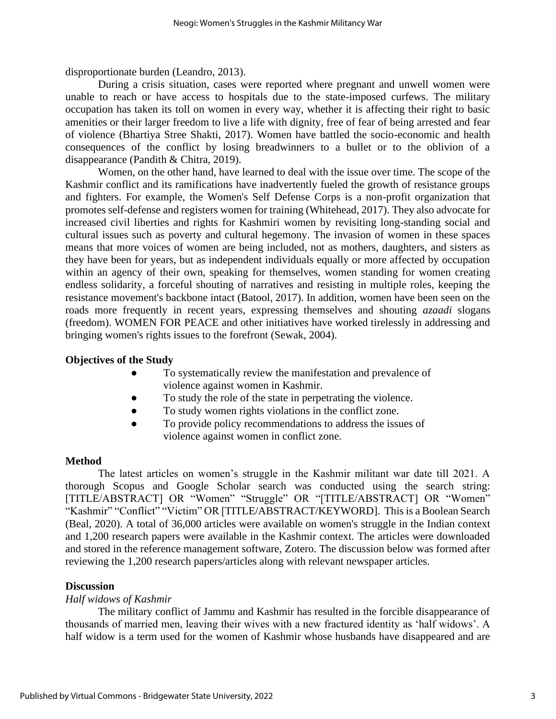disproportionate burden (Leandro, 2013).

During a crisis situation, cases were reported where pregnant and unwell women were unable to reach or have access to hospitals due to the state-imposed curfews. The military occupation has taken its toll on women in every way, whether it is affecting their right to basic amenities or their larger freedom to live a life with dignity, free of fear of being arrested and fear of violence (Bhartiya Stree Shakti, 2017). Women have battled the socio-economic and health consequences of the conflict by losing breadwinners to a bullet or to the oblivion of a disappearance (Pandith & Chitra, 2019).

Women, on the other hand, have learned to deal with the issue over time. The scope of the Kashmir conflict and its ramifications have inadvertently fueled the growth of resistance groups and fighters. For example, the Women's Self Defense Corps is a non-profit organization that promotes self-defense and registers women for training (Whitehead, 2017). They also advocate for increased civil liberties and rights for Kashmiri women by revisiting long-standing social and cultural issues such as poverty and cultural hegemony. The invasion of women in these spaces means that more voices of women are being included, not as mothers, daughters, and sisters as they have been for years, but as independent individuals equally or more affected by occupation within an agency of their own, speaking for themselves, women standing for women creating endless solidarity, a forceful shouting of narratives and resisting in multiple roles, keeping the resistance movement's backbone intact (Batool, 2017). In addition, women have been seen on the roads more frequently in recent years, expressing themselves and shouting *azaadi* slogans (freedom). WOMEN FOR PEACE and other initiatives have worked tirelessly in addressing and bringing women's rights issues to the forefront (Sewak, 2004).

# **Objectives of the Study**

- To systematically review the manifestation and prevalence of violence against women in Kashmir.
- To study the role of the state in perpetrating the violence.
- To study women rights violations in the conflict zone.
- To provide policy recommendations to address the issues of violence against women in conflict zone.

# **Method**

The latest articles on women's struggle in the Kashmir militant war date till 2021. A thorough Scopus and Google Scholar search was conducted using the search string: [TITLE/ABSTRACT] OR "Women" "Struggle" OR "[TITLE/ABSTRACT] OR "Women" "Kashmir" "Conflict" "Victim" OR [TITLE/ABSTRACT/KEYWORD]. This is a Boolean Search (Beal, 2020). A total of 36,000 articles were available on women's struggle in the Indian context and 1,200 research papers were available in the Kashmir context. The articles were downloaded and stored in the reference management software, Zotero. The discussion below was formed after reviewing the 1,200 research papers/articles along with relevant newspaper articles.

# **Discussion**

# *Half widows of Kashmir*

The military conflict of Jammu and Kashmir has resulted in the forcible disappearance of thousands of married men, leaving their wives with a new fractured identity as 'half widows'. A half widow is a term used for the women of Kashmir whose husbands have disappeared and are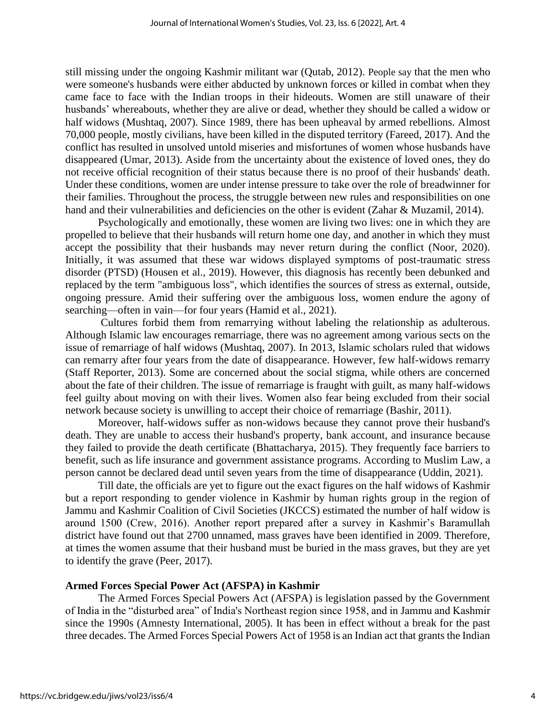still missing under the ongoing Kashmir militant war (Qutab, 2012). People say that the men who were someone's husbands were either abducted by unknown forces or killed in combat when they came face to face with the Indian troops in their hideouts. Women are still unaware of their husbands' whereabouts, whether they are alive or dead, whether they should be called a widow or half widows (Mushtaq, 2007). Since 1989, there has been upheaval by armed rebellions. Almost 70,000 people, mostly civilians, have been killed in the disputed territory (Fareed, 2017). And the conflict has resulted in unsolved untold miseries and misfortunes of women whose husbands have disappeared (Umar, 2013). Aside from the uncertainty about the existence of loved ones, they do not receive official recognition of their status because there is no proof of their husbands' death. Under these conditions, women are under intense pressure to take over the role of breadwinner for their families. Throughout the process, the struggle between new rules and responsibilities on one hand and their vulnerabilities and deficiencies on the other is evident (Zahar & Muzamil, 2014).

Psychologically and emotionally, these women are living two lives: one in which they are propelled to believe that their husbands will return home one day, and another in which they must accept the possibility that their husbands may never return during the conflict (Noor, 2020). Initially, it was assumed that these war widows displayed symptoms of post-traumatic stress disorder (PTSD) (Housen et al., 2019). However, this diagnosis has recently been debunked and replaced by the term "ambiguous loss", which identifies the sources of stress as external, outside, ongoing pressure. Amid their suffering over the ambiguous loss, women endure the agony of searching—often in vain—for four years (Hamid et al., 2021).

Cultures forbid them from remarrying without labeling the relationship as adulterous. Although Islamic law encourages remarriage, there was no agreement among various sects on the issue of remarriage of half widows (Mushtaq, 2007). In 2013, Islamic scholars ruled that widows can remarry after four years from the date of disappearance. However, few half-widows remarry (Staff Reporter, 2013). Some are concerned about the social stigma, while others are concerned about the fate of their children. The issue of remarriage is fraught with guilt, as many half-widows feel guilty about moving on with their lives. Women also fear being excluded from their social network because society is unwilling to accept their choice of remarriage (Bashir, 2011).

Moreover, half-widows suffer as non-widows because they cannot prove their husband's death. They are unable to access their husband's property, bank account, and insurance because they failed to provide the death certificate (Bhattacharya, 2015). They frequently face barriers to benefit, such as life insurance and government assistance programs. According to Muslim Law, a person cannot be declared dead until seven years from the time of disappearance (Uddin, 2021).

Till date, the officials are yet to figure out the exact figures on the half widows of Kashmir but a report responding to gender violence in Kashmir by human rights group in the region of Jammu and Kashmir Coalition of Civil Societies (JKCCS) estimated the number of half widow is around 1500 (Crew, 2016). Another report prepared after a survey in Kashmir's Baramullah district have found out that 2700 unnamed, mass graves have been identified in 2009. Therefore, at times the women assume that their husband must be buried in the mass graves, but they are yet to identify the grave (Peer, 2017).

## **Armed Forces Special Power Act (AFSPA) in Kashmir**

The Armed Forces Special Powers Act (AFSPA) is legislation passed by the Government of India in the "disturbed area" of India's Northeast region since 1958, and in Jammu and Kashmir since the 1990s (Amnesty International, 2005). It has been in effect without a break for the past three decades. The Armed Forces Special Powers Act of 1958 is an Indian act that grants the Indian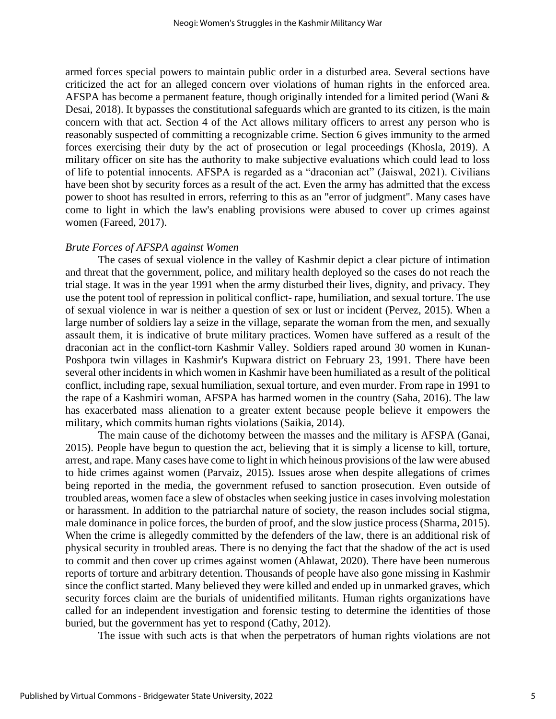armed forces special powers to maintain public order in a disturbed area. Several sections have criticized the act for an alleged concern over violations of human rights in the enforced area. AFSPA has become a permanent feature, though originally intended for a limited period (Wani & Desai, 2018). It bypasses the constitutional safeguards which are granted to its citizen, is the main concern with that act. Section 4 of the Act allows military officers to arrest any person who is reasonably suspected of committing a recognizable crime. Section 6 gives immunity to the armed forces exercising their duty by the act of prosecution or legal proceedings (Khosla, 2019). A military officer on site has the authority to make subjective evaluations which could lead to loss of life to potential innocents. AFSPA is regarded as a "draconian act" (Jaiswal, 2021). Civilians have been shot by security forces as a result of the act. Even the army has admitted that the excess power to shoot has resulted in errors, referring to this as an "error of judgment". Many cases have come to light in which the law's enabling provisions were abused to cover up crimes against women (Fareed, 2017).

## *Brute Forces of AFSPA against Women*

The cases of sexual violence in the valley of Kashmir depict a clear picture of intimation and threat that the government, police, and military health deployed so the cases do not reach the trial stage. It was in the year 1991 when the army disturbed their lives, dignity, and privacy. They use the potent tool of repression in political conflict- rape, humiliation, and sexual torture. The use of sexual violence in war is neither a question of sex or lust or incident (Pervez, 2015). When a large number of soldiers lay a seize in the village, separate the woman from the men, and sexually assault them, it is indicative of brute military practices. Women have suffered as a result of the draconian act in the conflict-torn Kashmir Valley. Soldiers raped around 30 women in Kunan-Poshpora twin villages in Kashmir's Kupwara district on February 23, 1991. There have been several other incidents in which women in Kashmir have been humiliated as a result of the political conflict, including rape, sexual humiliation, sexual torture, and even murder. From rape in 1991 to the rape of a Kashmiri woman, AFSPA has harmed women in the country (Saha, 2016). The law has exacerbated mass alienation to a greater extent because people believe it empowers the military, which commits human rights violations (Saikia, 2014).

The main cause of the dichotomy between the masses and the military is AFSPA (Ganai, 2015). People have begun to question the act, believing that it is simply a license to kill, torture, arrest, and rape. Many cases have come to light in which heinous provisions of the law were abused to hide crimes against women (Parvaiz, 2015). Issues arose when despite allegations of crimes being reported in the media, the government refused to sanction prosecution. Even outside of troubled areas, women face a slew of obstacles when seeking justice in cases involving molestation or harassment. In addition to the patriarchal nature of society, the reason includes social stigma, male dominance in police forces, the burden of proof, and the slow justice process (Sharma, 2015). When the crime is allegedly committed by the defenders of the law, there is an additional risk of physical security in troubled areas. There is no denying the fact that the shadow of the act is used to commit and then cover up crimes against women (Ahlawat, 2020). There have been numerous reports of torture and arbitrary detention. Thousands of people have also gone missing in Kashmir since the conflict started. Many believed they were killed and ended up in unmarked graves, which security forces claim are the burials of unidentified militants. Human rights organizations have called for an independent investigation and forensic testing to determine the identities of those buried, but the government has yet to respond (Cathy, 2012).

The issue with such acts is that when the perpetrators of human rights violations are not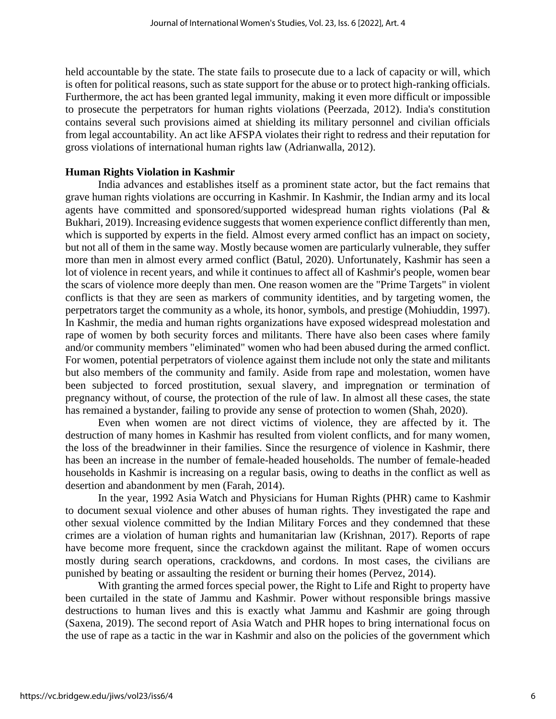held accountable by the state. The state fails to prosecute due to a lack of capacity or will, which is often for political reasons, such as state support for the abuse or to protect high-ranking officials. Furthermore, the act has been granted legal immunity, making it even more difficult or impossible to prosecute the perpetrators for human rights violations (Peerzada, 2012). India's constitution contains several such provisions aimed at shielding its military personnel and civilian officials from legal accountability. An act like AFSPA violates their right to redress and their reputation for gross violations of international human rights law (Adrianwalla, 2012).

## **Human Rights Violation in Kashmir**

India advances and establishes itself as a prominent state actor, but the fact remains that grave human rights violations are occurring in Kashmir. In Kashmir, the Indian army and its local agents have committed and sponsored/supported widespread human rights violations (Pal & Bukhari, 2019). Increasing evidence suggests that women experience conflict differently than men, which is supported by experts in the field. Almost every armed conflict has an impact on society, but not all of them in the same way. Mostly because women are particularly vulnerable, they suffer more than men in almost every armed conflict (Batul, 2020). Unfortunately, Kashmir has seen a lot of violence in recent years, and while it continues to affect all of Kashmir's people, women bear the scars of violence more deeply than men. One reason women are the "Prime Targets" in violent conflicts is that they are seen as markers of community identities, and by targeting women, the perpetrators target the community as a whole, its honor, symbols, and prestige (Mohiuddin, 1997). In Kashmir, the media and human rights organizations have exposed widespread molestation and rape of women by both security forces and militants. There have also been cases where family and/or community members "eliminated" women who had been abused during the armed conflict. For women, potential perpetrators of violence against them include not only the state and militants but also members of the community and family. Aside from rape and molestation, women have been subjected to forced prostitution, sexual slavery, and impregnation or termination of pregnancy without, of course, the protection of the rule of law. In almost all these cases, the state has remained a bystander, failing to provide any sense of protection to women (Shah, 2020).

Even when women are not direct victims of violence, they are affected by it. The destruction of many homes in Kashmir has resulted from violent conflicts, and for many women, the loss of the breadwinner in their families. Since the resurgence of violence in Kashmir, there has been an increase in the number of female-headed households. The number of female-headed households in Kashmir is increasing on a regular basis, owing to deaths in the conflict as well as desertion and abandonment by men (Farah, 2014).

In the year, 1992 Asia Watch and Physicians for Human Rights (PHR) came to Kashmir to document sexual violence and other abuses of human rights. They investigated the rape and other sexual violence committed by the Indian Military Forces and they condemned that these crimes are a violation of human rights and humanitarian law (Krishnan, 2017). Reports of rape have become more frequent, since the crackdown against the militant. Rape of women occurs mostly during search operations, crackdowns, and cordons. In most cases, the civilians are punished by beating or assaulting the resident or burning their homes (Pervez, 2014).

With granting the armed forces special power, the Right to Life and Right to property have been curtailed in the state of Jammu and Kashmir. Power without responsible brings massive destructions to human lives and this is exactly what Jammu and Kashmir are going through (Saxena, 2019). The second report of Asia Watch and PHR hopes to bring international focus on the use of rape as a tactic in the war in Kashmir and also on the policies of the government which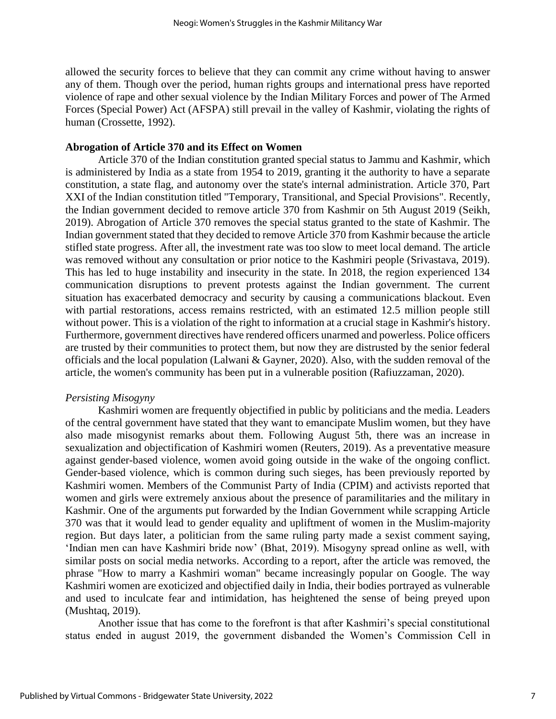allowed the security forces to believe that they can commit any crime without having to answer any of them. Though over the period, human rights groups and international press have reported violence of rape and other sexual violence by the Indian Military Forces and power of The Armed Forces (Special Power) Act (AFSPA) still prevail in the valley of Kashmir, violating the rights of human (Crossette, 1992).

## **Abrogation of Article 370 and its Effect on Women**

Article 370 of the Indian constitution granted special status to Jammu and Kashmir, which is administered by India as a state from 1954 to 2019, granting it the authority to have a separate constitution, a state flag, and autonomy over the state's internal administration. Article 370, Part XXI of the Indian constitution titled "Temporary, Transitional, and Special Provisions". Recently, the Indian government decided to remove article 370 from Kashmir on 5th August 2019 (Seikh, 2019). Abrogation of Article 370 removes the special status granted to the state of Kashmir. The Indian government stated that they decided to remove Article 370 from Kashmir because the article stifled state progress. After all, the investment rate was too slow to meet local demand. The article was removed without any consultation or prior notice to the Kashmiri people (Srivastava, 2019). This has led to huge instability and insecurity in the state. In 2018, the region experienced 134 communication disruptions to prevent protests against the Indian government. The current situation has exacerbated democracy and security by causing a communications blackout. Even with partial restorations, access remains restricted, with an estimated 12.5 million people still without power. This is a violation of the right to information at a crucial stage in Kashmir's history. Furthermore, government directives have rendered officers unarmed and powerless. Police officers are trusted by their communities to protect them, but now they are distrusted by the senior federal officials and the local population (Lalwani & Gayner, 2020). Also, with the sudden removal of the article, the women's community has been put in a vulnerable position (Rafiuzzaman, 2020).

## *Persisting Misogyny*

Kashmiri women are frequently objectified in public by politicians and the media. Leaders of the central government have stated that they want to emancipate Muslim women, but they have also made misogynist remarks about them. Following August 5th, there was an increase in sexualization and objectification of Kashmiri women (Reuters, 2019). As a preventative measure against gender-based violence, women avoid going outside in the wake of the ongoing conflict. Gender-based violence, which is common during such sieges, has been previously reported by Kashmiri women. Members of the Communist Party of India (CPIM) and activists reported that women and girls were extremely anxious about the presence of paramilitaries and the military in Kashmir. One of the arguments put forwarded by the Indian Government while scrapping Article 370 was that it would lead to gender equality and upliftment of women in the Muslim-majority region. But days later, a politician from the same ruling party made a sexist comment saying, 'Indian men can have Kashmiri bride now' (Bhat, 2019). Misogyny spread online as well, with similar posts on social media networks. According to a report, after the article was removed, the phrase "How to marry a Kashmiri woman" became increasingly popular on Google. The way Kashmiri women are exoticized and objectified daily in India, their bodies portrayed as vulnerable and used to inculcate fear and intimidation, has heightened the sense of being preyed upon (Mushtaq, 2019).

Another issue that has come to the forefront is that after Kashmiri's special constitutional status ended in august 2019, the government disbanded the Women's Commission Cell in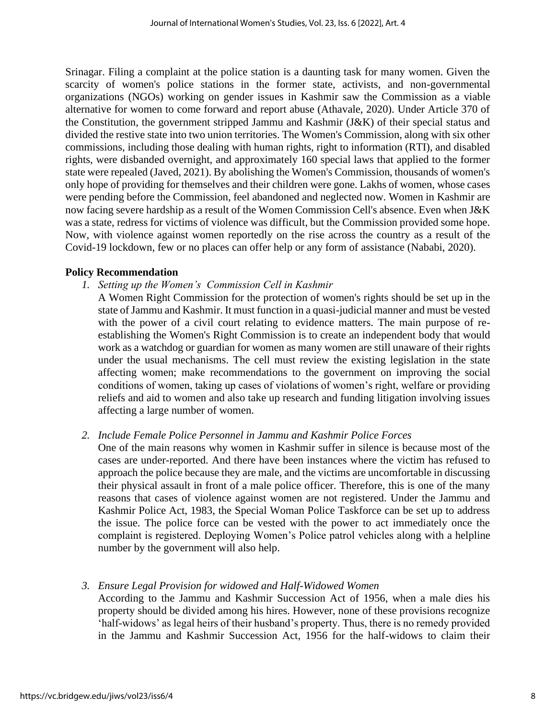Srinagar. Filing a complaint at the police station is a daunting task for many women. Given the scarcity of women's police stations in the former state, activists, and non-governmental organizations (NGOs) working on gender issues in Kashmir saw the Commission as a viable alternative for women to come forward and report abuse (Athavale, 2020). Under Article 370 of the Constitution, the government stripped Jammu and Kashmir (J&K) of their special status and divided the restive state into two union territories. The Women's Commission, along with six other commissions, including those dealing with human rights, right to information (RTI), and disabled rights, were disbanded overnight, and approximately 160 special laws that applied to the former state were repealed (Javed, 2021). By abolishing the Women's Commission, thousands of women's only hope of providing for themselves and their children were gone. Lakhs of women, whose cases were pending before the Commission, feel abandoned and neglected now. Women in Kashmir are now facing severe hardship as a result of the Women Commission Cell's absence. Even when J&K was a state, redress for victims of violence was difficult, but the Commission provided some hope. Now, with violence against women reportedly on the rise across the country as a result of the Covid-19 lockdown, few or no places can offer help or any form of assistance (Nababi, 2020).

# **Policy Recommendation**

- *1. Setting up the Women's Commission Cell in Kashmir*
	- A Women Right Commission for the protection of women's rights should be set up in the state of Jammu and Kashmir. It must function in a quasi-judicial manner and must be vested with the power of a civil court relating to evidence matters. The main purpose of reestablishing the Women's Right Commission is to create an independent body that would work as a watchdog or guardian for women as many women are still unaware of their rights under the usual mechanisms. The cell must review the existing legislation in the state affecting women; make recommendations to the government on improving the social conditions of women, taking up cases of violations of women's right, welfare or providing reliefs and aid to women and also take up research and funding litigation involving issues affecting a large number of women.
- *2. Include Female Police Personnel in Jammu and Kashmir Police Forces*
- One of the main reasons why women in Kashmir suffer in silence is because most of the cases are under-reported. And there have been instances where the victim has refused to approach the police because they are male, and the victims are uncomfortable in discussing their physical assault in front of a male police officer. Therefore, this is one of the many reasons that cases of violence against women are not registered. Under the Jammu and Kashmir Police Act, 1983, the Special Woman Police Taskforce can be set up to address the issue. The police force can be vested with the power to act immediately once the complaint is registered. Deploying Women's Police patrol vehicles along with a helpline number by the government will also help.
- *3. Ensure Legal Provision for widowed and Half-Widowed Women*

According to the Jammu and Kashmir Succession Act of 1956, when a male dies his property should be divided among his hires. However, none of these provisions recognize 'half-widows' as legal heirs of their husband's property. Thus, there is no remedy provided in the Jammu and Kashmir Succession Act, 1956 for the half-widows to claim their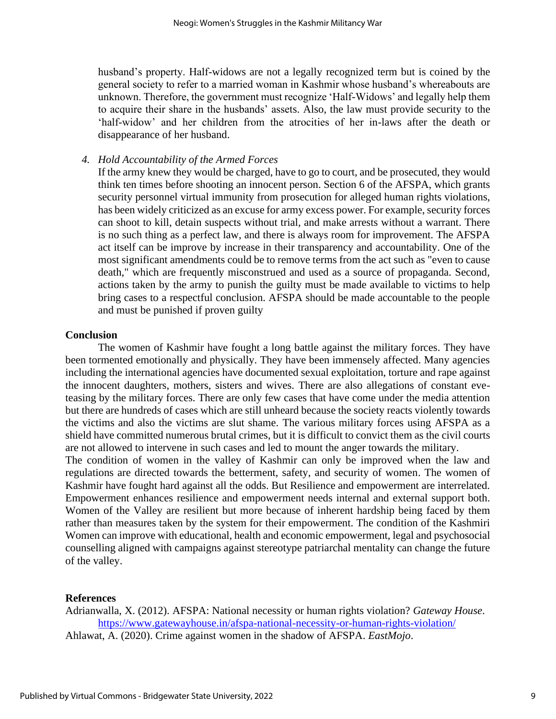husband's property. Half-widows are not a legally recognized term but is coined by the general society to refer to a married woman in Kashmir whose husband's whereabouts are unknown. Therefore, the government must recognize 'Half-Widows' and legally help them to acquire their share in the husbands' assets. Also, the law must provide security to the 'half-widow' and her children from the atrocities of her in-laws after the death or disappearance of her husband.

## *4. Hold Accountability of the Armed Forces*

If the army knew they would be charged, have to go to court, and be prosecuted, they would think ten times before shooting an innocent person. Section 6 of the AFSPA, which grants security personnel virtual immunity from prosecution for alleged human rights violations, has been widely criticized as an excuse for army excess power. For example, security forces can shoot to kill, detain suspects without trial, and make arrests without a warrant. There is no such thing as a perfect law, and there is always room for improvement. The AFSPA act itself can be improve by increase in their transparency and accountability. One of the most significant amendments could be to remove terms from the act such as "even to cause death," which are frequently misconstrued and used as a source of propaganda. Second, actions taken by the army to punish the guilty must be made available to victims to help bring cases to a respectful conclusion. AFSPA should be made accountable to the people and must be punished if proven guilty

## **Conclusion**

The women of Kashmir have fought a long battle against the military forces. They have been tormented emotionally and physically. They have been immensely affected. Many agencies including the international agencies have documented sexual exploitation, torture and rape against the innocent daughters, mothers, sisters and wives. There are also allegations of constant eveteasing by the military forces. There are only few cases that have come under the media attention but there are hundreds of cases which are still unheard because the society reacts violently towards the victims and also the victims are slut shame. The various military forces using AFSPA as a shield have committed numerous brutal crimes, but it is difficult to convict them as the civil courts are not allowed to intervene in such cases and led to mount the anger towards the military.

The condition of women in the valley of Kashmir can only be improved when the law and regulations are directed towards the betterment, safety, and security of women. The women of Kashmir have fought hard against all the odds. But Resilience and empowerment are interrelated. Empowerment enhances resilience and empowerment needs internal and external support both. Women of the Valley are resilient but more because of inherent hardship being faced by them rather than measures taken by the system for their empowerment. The condition of the Kashmiri Women can improve with educational, health and economic empowerment, legal and psychosocial counselling aligned with campaigns against stereotype patriarchal mentality can change the future of the valley.

## **References**

Adrianwalla, X. (2012). AFSPA: National necessity or human rights violation? *Gateway House*. <https://www.gatewayhouse.in/afspa-national-necessity-or-human-rights-violation/> Ahlawat, A. (2020). Crime against women in the shadow of AFSPA. *EastMojo*.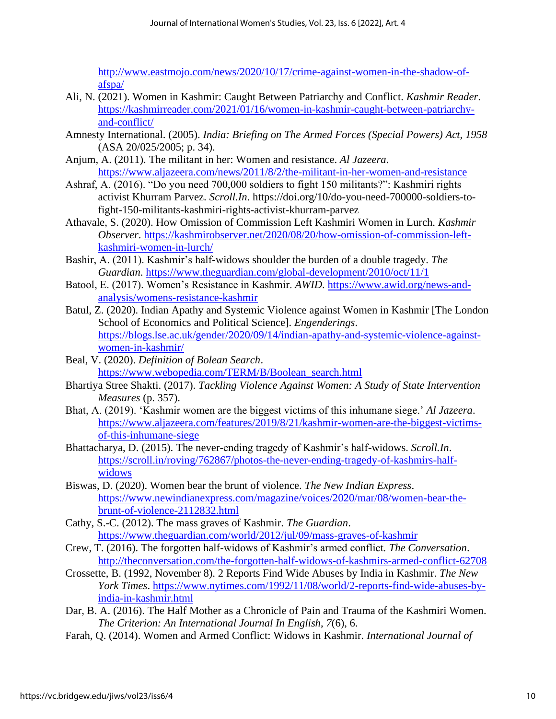[http://www.eastmojo.com/news/2020/10/17/crime-against-women-in-the-shadow-of](http://www.eastmojo.com/news/2020/10/17/crime-against-women-in-the-shadow-of-afspa/)[afspa/](http://www.eastmojo.com/news/2020/10/17/crime-against-women-in-the-shadow-of-afspa/)

- Ali, N. (2021). Women in Kashmir: Caught Between Patriarchy and Conflict. *Kashmir Reader*. [https://kashmirreader.com/2021/01/16/women-in-kashmir-caught-between-patriarchy](https://kashmirreader.com/2021/01/16/women-in-kashmir-caught-between-patriarchy-and-conflict/)[and-conflict/](https://kashmirreader.com/2021/01/16/women-in-kashmir-caught-between-patriarchy-and-conflict/)
- Amnesty International. (2005). *India: Briefing on The Armed Forces (Special Powers) Act, 1958* (ASA 20/025/2005; p. 34).
- Anjum, A. (2011). The militant in her: Women and resistance. *Al Jazeera*. <https://www.aljazeera.com/news/2011/8/2/the-militant-in-her-women-and-resistance>
- Ashraf, A. (2016). "Do you need 700,000 soldiers to fight 150 militants?": Kashmiri rights activist Khurram Parvez. *Scroll.In*. https://doi.org/10/do-you-need-700000-soldiers-tofight-150-militants-kashmiri-rights-activist-khurram-parvez
- Athavale, S. (2020). How Omission of Commission Left Kashmiri Women in Lurch. *Kashmir Observer*. [https://kashmirobserver.net/2020/08/20/how-omission-of-commission-left](https://kashmirobserver.net/2020/08/20/how-omission-of-commission-left-kashmiri-women-in-lurch/)[kashmiri-women-in-lurch/](https://kashmirobserver.net/2020/08/20/how-omission-of-commission-left-kashmiri-women-in-lurch/)
- Bashir, A. (2011). Kashmir's half-widows shoulder the burden of a double tragedy. *The Guardian*.<https://www.theguardian.com/global-development/2010/oct/11/1>
- Batool, E. (2017). Women's Resistance in Kashmir. *AWID*. [https://www.awid.org/news-and](https://www.awid.org/news-and-analysis/womens-resistance-kashmir)[analysis/womens-resistance-kashmir](https://www.awid.org/news-and-analysis/womens-resistance-kashmir)
- Batul, Z. (2020). Indian Apathy and Systemic Violence against Women in Kashmir [The London School of Economics and Political Science]. *Engenderings*. [https://blogs.lse.ac.uk/gender/2020/09/14/indian-apathy-and-systemic-violence-against](https://blogs.lse.ac.uk/gender/2020/09/14/indian-apathy-and-systemic-violence-against-women-in-kashmir/)[women-in-kashmir/](https://blogs.lse.ac.uk/gender/2020/09/14/indian-apathy-and-systemic-violence-against-women-in-kashmir/)
- Beal, V. (2020). *Definition of Bolean Search*. [https://www.webopedia.com/TERM/B/Boolean\\_search.html](https://www.webopedia.com/TERM/B/Boolean_search.html)
- Bhartiya Stree Shakti. (2017). *Tackling Violence Against Women: A Study of State Intervention Measures* (p. 357).
- Bhat, A. (2019). 'Kashmir women are the biggest victims of this inhumane siege.' *Al Jazeera*. [https://www.aljazeera.com/features/2019/8/21/kashmir-women-are-the-biggest-victims](https://www.aljazeera.com/features/2019/8/21/kashmir-women-are-the-biggest-victims-of-this-inhumane-siege)[of-this-inhumane-siege](https://www.aljazeera.com/features/2019/8/21/kashmir-women-are-the-biggest-victims-of-this-inhumane-siege)
- Bhattacharya, D. (2015). The never-ending tragedy of Kashmir's half-widows. *Scroll.In*. [https://scroll.in/roving/762867/photos-the-never-ending-tragedy-of-kashmirs-half](https://scroll.in/roving/762867/photos-the-never-ending-tragedy-of-kashmirs-half-widows)[widows](https://scroll.in/roving/762867/photos-the-never-ending-tragedy-of-kashmirs-half-widows)
- Biswas, D. (2020). Women bear the brunt of violence. *The New Indian Express*. [https://www.newindianexpress.com/magazine/voices/2020/mar/08/women-bear-the](https://www.newindianexpress.com/magazine/voices/2020/mar/08/women-bear-the-brunt-of-violence-2112832.html)[brunt-of-violence-2112832.html](https://www.newindianexpress.com/magazine/voices/2020/mar/08/women-bear-the-brunt-of-violence-2112832.html)
- Cathy, S.-C. (2012). The mass graves of Kashmir. *The Guardian*. <https://www.theguardian.com/world/2012/jul/09/mass-graves-of-kashmir>
- Crew, T. (2016). The forgotten half-widows of Kashmir's armed conflict. *The Conversation*. <http://theconversation.com/the-forgotten-half-widows-of-kashmirs-armed-conflict-62708>
- Crossette, B. (1992, November 8). 2 Reports Find Wide Abuses by India in Kashmir. *The New York Times*. [https://www.nytimes.com/1992/11/08/world/2-reports-find-wide-abuses-by](https://www.nytimes.com/1992/11/08/world/2-reports-find-wide-abuses-by-india-in-kashmir.html)[india-in-kashmir.html](https://www.nytimes.com/1992/11/08/world/2-reports-find-wide-abuses-by-india-in-kashmir.html)
- Dar, B. A. (2016). The Half Mother as a Chronicle of Pain and Trauma of the Kashmiri Women. *The Criterion: An International Journal In English*, *7*(6), 6.
- Farah, Q. (2014). Women and Armed Conflict: Widows in Kashmir. *International Journal of*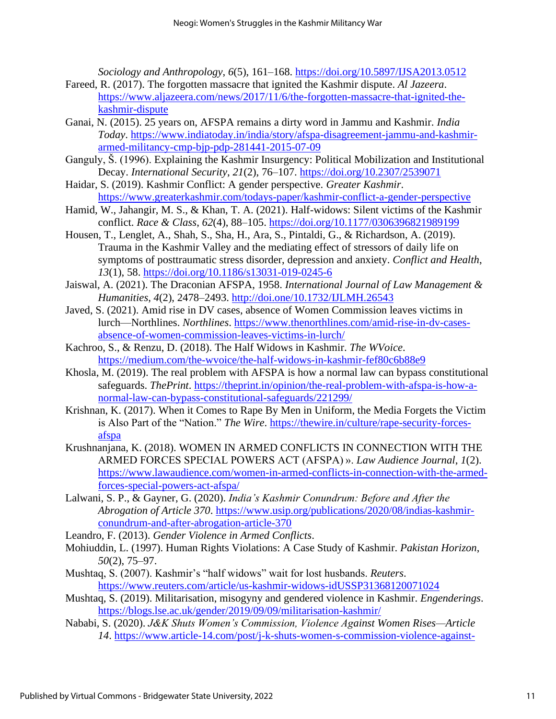*Sociology and Anthropology*, *6*(5), 161–168.<https://doi.org/10.5897/IJSA2013.0512>

- Fareed, R. (2017). The forgotten massacre that ignited the Kashmir dispute. *Al Jazeera*. [https://www.aljazeera.com/news/2017/11/6/the-forgotten-massacre-that-ignited-the](https://www.aljazeera.com/news/2017/11/6/the-forgotten-massacre-that-ignited-the-kashmir-dispute)[kashmir-dispute](https://www.aljazeera.com/news/2017/11/6/the-forgotten-massacre-that-ignited-the-kashmir-dispute)
- Ganai, N. (2015). 25 years on, AFSPA remains a dirty word in Jammu and Kashmir. *India Today*. [https://www.indiatoday.in/india/story/afspa-disagreement-jammu-and-kashmir](https://www.indiatoday.in/india/story/afspa-disagreement-jammu-and-kashmir-armed-militancy-cmp-bjp-pdp-281441-2015-07-09)[armed-militancy-cmp-bjp-pdp-281441-2015-07-09](https://www.indiatoday.in/india/story/afspa-disagreement-jammu-and-kashmir-armed-militancy-cmp-bjp-pdp-281441-2015-07-09)
- Ganguly, Š. (1996). Explaining the Kashmir Insurgency: Political Mobilization and Institutional Decay. *International Security*, *21*(2), 76–107.<https://doi.org/10.2307/2539071>
- Haidar, S. (2019). Kashmir Conflict: A gender perspective. *Greater Kashmir*. <https://www.greaterkashmir.com/todays-paper/kashmir-conflict-a-gender-perspective>
- Hamid, W., Jahangir, M. S., & Khan, T. A. (2021). Half-widows: Silent victims of the Kashmir conflict. *Race & Class*, *62*(4), 88–105.<https://doi.org/10.1177/0306396821989199>
- Housen, T., Lenglet, A., Shah, S., Sha, H., Ara, S., Pintaldi, G., & Richardson, A. (2019). Trauma in the Kashmir Valley and the mediating effect of stressors of daily life on symptoms of posttraumatic stress disorder, depression and anxiety. *Conflict and Health*, *13*(1), 58.<https://doi.org/10.1186/s13031-019-0245-6>
- Jaiswal, A. (2021). The Draconian AFSPA, 1958. *International Journal of Law Management & Humanities*, *4*(2), 2478–2493.<http://doi.one/10.1732/IJLMH.26543>
- Javed, S. (2021). Amid rise in DV cases, absence of Women Commission leaves victims in lurch—Northlines. *Northlines*. [https://www.thenorthlines.com/amid-rise-in-dv-cases](https://www.thenorthlines.com/amid-rise-in-dv-cases-absence-of-women-commission-leaves-victims-in-lurch/)[absence-of-women-commission-leaves-victims-in-lurch/](https://www.thenorthlines.com/amid-rise-in-dv-cases-absence-of-women-commission-leaves-victims-in-lurch/)
- Kachroo, S., & Renzu, D. (2018). The Half Widows in Kashmir. *The WVoice*. <https://medium.com/the-wvoice/the-half-widows-in-kashmir-fef80c6b88e9>
- Khosla, M. (2019). The real problem with AFSPA is how a normal law can bypass constitutional safeguards. *ThePrint*. [https://theprint.in/opinion/the-real-problem-with-afspa-is-how-a](https://theprint.in/opinion/the-real-problem-with-afspa-is-how-a-normal-law-can-bypass-constitutional-safeguards/221299/)[normal-law-can-bypass-constitutional-safeguards/221299/](https://theprint.in/opinion/the-real-problem-with-afspa-is-how-a-normal-law-can-bypass-constitutional-safeguards/221299/)
- Krishnan, K. (2017). When it Comes to Rape By Men in Uniform, the Media Forgets the Victim is Also Part of the "Nation." *The Wire*. [https://thewire.in/culture/rape-security-forces](https://thewire.in/culture/rape-security-forces-afspa)[afspa](https://thewire.in/culture/rape-security-forces-afspa)
- Krushnanjana, K. (2018). WOMEN IN ARMED CONFLICTS IN CONNECTION WITH THE ARMED FORCES SPECIAL POWERS ACT (AFSPA) ». *Law Audience Journal*, *1*(2). [https://www.lawaudience.com/women-in-armed-conflicts-in-connection-with-the-armed](https://www.lawaudience.com/women-in-armed-conflicts-in-connection-with-the-armed-forces-special-powers-act-afspa/)[forces-special-powers-act-afspa/](https://www.lawaudience.com/women-in-armed-conflicts-in-connection-with-the-armed-forces-special-powers-act-afspa/)
- Lalwani, S. P., & Gayner, G. (2020). *India's Kashmir Conundrum: Before and After the Abrogation of Article 370*. [https://www.usip.org/publications/2020/08/indias-kashmir](https://www.usip.org/publications/2020/08/indias-kashmir-conundrum-and-after-abrogation-article-370)[conundrum-and-after-abrogation-article-370](https://www.usip.org/publications/2020/08/indias-kashmir-conundrum-and-after-abrogation-article-370)
- Leandro, F. (2013). *Gender Violence in Armed Conflicts*.
- Mohiuddin, L. (1997). Human Rights Violations: A Case Study of Kashmir. *Pakistan Horizon*, *50*(2), 75–97.
- Mushtaq, S. (2007). Kashmir's "half widows" wait for lost husbands. *Reuters*. <https://www.reuters.com/article/us-kashmir-widows-idUSSP31368120071024>
- Mushtaq, S. (2019). Militarisation, misogyny and gendered violence in Kashmir. *Engenderings*. <https://blogs.lse.ac.uk/gender/2019/09/09/militarisation-kashmir/>
- Nababi, S. (2020). *J&K Shuts Women's Commission, Violence Against Women Rises—Article 14*. [https://www.article-14.com/post/j-k-shuts-women-s-commission-violence-against-](https://www.article-14.com/post/j-k-shuts-women-s-commission-violence-against-women-rises)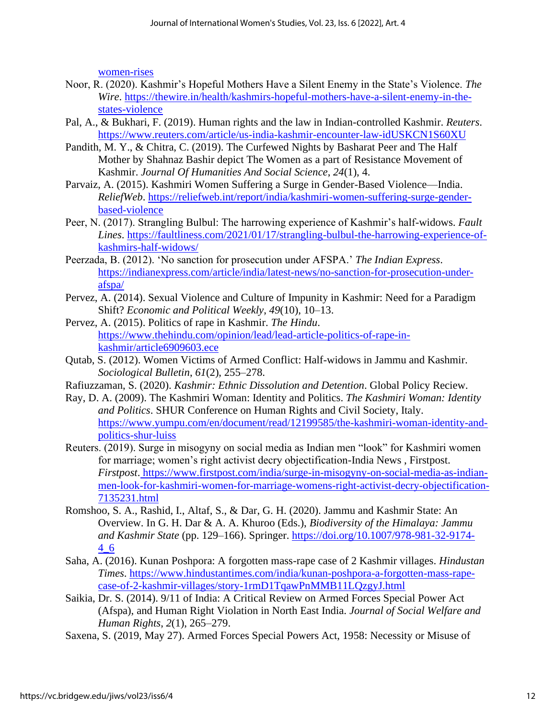[women-rises](https://www.article-14.com/post/j-k-shuts-women-s-commission-violence-against-women-rises)

- Noor, R. (2020). Kashmir's Hopeful Mothers Have a Silent Enemy in the State's Violence. *The Wire*. [https://thewire.in/health/kashmirs-hopeful-mothers-have-a-silent-enemy-in-the](https://thewire.in/health/kashmirs-hopeful-mothers-have-a-silent-enemy-in-the-states-violence)[states-violence](https://thewire.in/health/kashmirs-hopeful-mothers-have-a-silent-enemy-in-the-states-violence)
- Pal, A., & Bukhari, F. (2019). Human rights and the law in Indian-controlled Kashmir. *Reuters*. <https://www.reuters.com/article/us-india-kashmir-encounter-law-idUSKCN1S60XU>
- Pandith, M. Y., & Chitra, C. (2019). The Curfewed Nights by Basharat Peer and The Half Mother by Shahnaz Bashir depict The Women as a part of Resistance Movement of Kashmir. *Journal Of Humanities And Social Science*, *24*(1), 4.
- Parvaiz, A. (2015). Kashmiri Women Suffering a Surge in Gender-Based Violence—India. *ReliefWeb*. [https://reliefweb.int/report/india/kashmiri-women-suffering-surge-gender](https://reliefweb.int/report/india/kashmiri-women-suffering-surge-gender-based-violence)[based-violence](https://reliefweb.int/report/india/kashmiri-women-suffering-surge-gender-based-violence)
- Peer, N. (2017). Strangling Bulbul: The harrowing experience of Kashmir's half-widows. *Fault Lines*. [https://faultliness.com/2021/01/17/strangling-bulbul-the-harrowing-experience-of](https://faultliness.com/2021/01/17/strangling-bulbul-the-harrowing-experience-of-kashmirs-half-widows/)[kashmirs-half-widows/](https://faultliness.com/2021/01/17/strangling-bulbul-the-harrowing-experience-of-kashmirs-half-widows/)
- Peerzada, B. (2012). 'No sanction for prosecution under AFSPA.' *The Indian Express*. [https://indianexpress.com/article/india/latest-news/no-sanction-for-prosecution-under](https://indianexpress.com/article/india/latest-news/no-sanction-for-prosecution-under-afspa/)[afspa/](https://indianexpress.com/article/india/latest-news/no-sanction-for-prosecution-under-afspa/)
- Pervez, A. (2014). Sexual Violence and Culture of Impunity in Kashmir: Need for a Paradigm Shift? *Economic and Political Weekly*, *49*(10), 10–13.
- Pervez, A. (2015). Politics of rape in Kashmir. *The Hindu*. [https://www.thehindu.com/opinion/lead/lead-article-politics-of-rape-in](https://www.thehindu.com/opinion/lead/lead-article-politics-of-rape-in-kashmir/article6909603.ece)[kashmir/article6909603.ece](https://www.thehindu.com/opinion/lead/lead-article-politics-of-rape-in-kashmir/article6909603.ece)
- Qutab, S. (2012). Women Victims of Armed Conflict: Half-widows in Jammu and Kashmir. *Sociological Bulletin*, *61*(2), 255–278.
- Rafiuzzaman, S. (2020). *Kashmir: Ethnic Dissolution and Detention*. Global Policy Reciew.
- Ray, D. A. (2009). The Kashmiri Woman: Identity and Politics. *The Kashmiri Woman: Identity and Politics*. SHUR Conference on Human Rights and Civil Society, Italy. [https://www.yumpu.com/en/document/read/12199585/the-kashmiri-woman-identity-and](https://www.yumpu.com/en/document/read/12199585/the-kashmiri-woman-identity-and-politics-shur-luiss)[politics-shur-luiss](https://www.yumpu.com/en/document/read/12199585/the-kashmiri-woman-identity-and-politics-shur-luiss)
- Reuters. (2019). Surge in misogyny on social media as Indian men "look" for Kashmiri women for marriage; women's right activist decry objectification-India News , Firstpost. *Firstpost*. [https://www.firstpost.com/india/surge-in-misogyny-on-social-media-as-indian](about:blank)[men-look-for-kashmiri-women-for-marriage-womens-right-activist-decry-objectification-](about:blank)[7135231.html](about:blank)
- Romshoo, S. A., Rashid, I., Altaf, S., & Dar, G. H. (2020). Jammu and Kashmir State: An Overview. In G. H. Dar & A. A. Khuroo (Eds.), *Biodiversity of the Himalaya: Jammu and Kashmir State* (pp. 129–166). Springer. [https://doi.org/10.1007/978-981-32-9174-](https://doi.org/10.1007/978-981-32-9174-4_6) [4\\_6](https://doi.org/10.1007/978-981-32-9174-4_6)
- Saha, A. (2016). Kunan Poshpora: A forgotten mass-rape case of 2 Kashmir villages. *Hindustan Times*. [https://www.hindustantimes.com/india/kunan-poshpora-a-forgotten-mass-rape](https://www.hindustantimes.com/india/kunan-poshpora-a-forgotten-mass-rape-case-of-2-kashmir-villages/story-1rmD1TqawPnMMB11LQzgyJ.html)[case-of-2-kashmir-villages/story-1rmD1TqawPnMMB11LQzgyJ.html](https://www.hindustantimes.com/india/kunan-poshpora-a-forgotten-mass-rape-case-of-2-kashmir-villages/story-1rmD1TqawPnMMB11LQzgyJ.html)
- Saikia, Dr. S. (2014). 9/11 of India: A Critical Review on Armed Forces Special Power Act (Afspa), and Human Right Violation in North East India. *Journal of Social Welfare and Human Rights*, *2*(1), 265–279.
- Saxena, S. (2019, May 27). Armed Forces Special Powers Act, 1958: Necessity or Misuse of